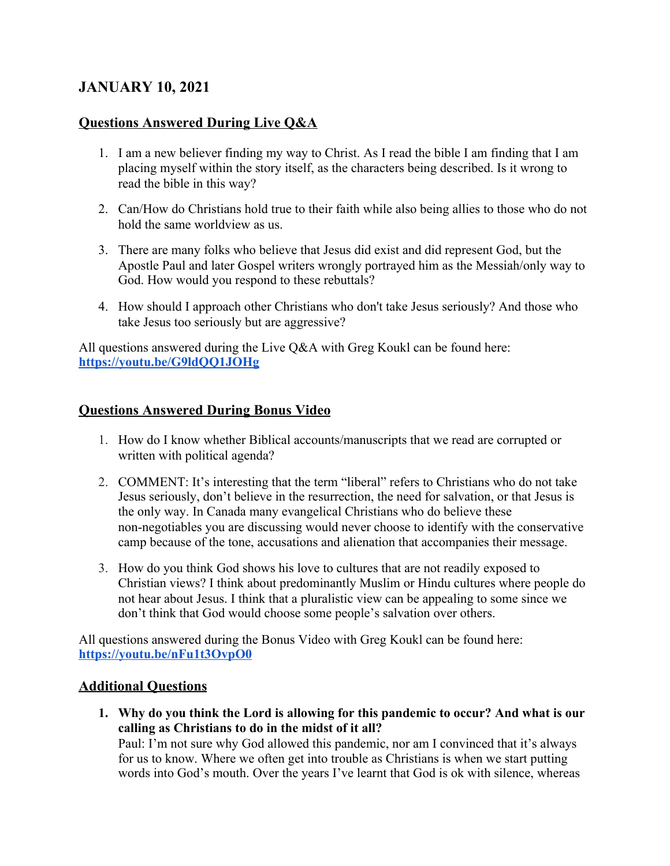# **JANUARY 10, 2021**

## **Questions Answered During Live Q&A**

- 1. I am a new believer finding my way to Christ. As I read the bible I am finding that I am placing myself within the story itself, as the characters being described. Is it wrong to read the bible in this way?
- 2. Can/How do Christians hold true to their faith while also being allies to those who do not hold the same worldview as us.
- 3. There are many folks who believe that Jesus did exist and did represent God, but the Apostle Paul and later Gospel writers wrongly portrayed him as the Messiah/only way to God. How would you respond to these rebuttals?
- 4. How should I approach other Christians who don't take Jesus seriously? And those who take Jesus too seriously but are aggressive?

All questions answered during the Live Q&A with Greg Koukl can be found here: **<https://youtu.be/G9ldQQ1JOHg>**

## **Questions Answered During Bonus Video**

- 1. How do I know whether Biblical accounts/manuscripts that we read are corrupted or written with political agenda?
- 2. COMMENT: It's interesting that the term "liberal" refers to Christians who do not take Jesus seriously, don't believe in the resurrection, the need for salvation, or that Jesus is the only way. In Canada many evangelical Christians who do believe these non-negotiables you are discussing would never choose to identify with the conservative camp because of the tone, accusations and alienation that accompanies their message.
- 3. How do you think God shows his love to cultures that are not readily exposed to Christian views? I think about predominantly Muslim or Hindu cultures where people do not hear about Jesus. I think that a pluralistic view can be appealing to some since we don't think that God would choose some people's salvation over others.

All questions answered during the Bonus Video with Greg Koukl can be found here: **<https://youtu.be/nFu1t3OvpO0>**

### **Additional Questions**

**1. Why do you think the Lord is allowing for this pandemic to occur? And what is our calling as Christians to do in the midst of it all?**

Paul: I'm not sure why God allowed this pandemic, nor am I convinced that it's always for us to know. Where we often get into trouble as Christians is when we start putting words into God's mouth. Over the years I've learnt that God is ok with silence, whereas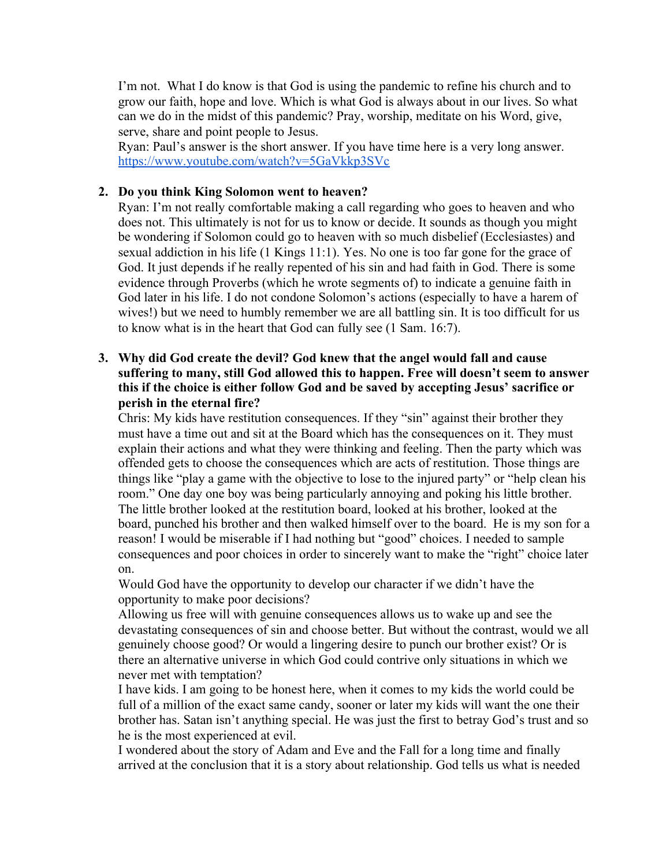I'm not. What I do know is that God is using the pandemic to refine his church and to grow our faith, hope and love. Which is what God is always about in our lives. So what can we do in the midst of this pandemic? Pray, worship, meditate on his Word, give, serve, share and point people to Jesus.

Ryan: Paul's answer is the short answer. If you have time here is a very long answer. <https://www.youtube.com/watch?v=5GaVkkp3SVc>

#### **2. Do you think King Solomon went to heaven?**

Ryan: I'm not really comfortable making a call regarding who goes to heaven and who does not. This ultimately is not for us to know or decide. It sounds as though you might be wondering if Solomon could go to heaven with so much disbelief (Ecclesiastes) and sexual addiction in his life (1 Kings 11:1). Yes. No one is too far gone for the grace of God. It just depends if he really repented of his sin and had faith in God. There is some evidence through Proverbs (which he wrote segments of) to indicate a genuine faith in God later in his life. I do not condone Solomon's actions (especially to have a harem of wives!) but we need to humbly remember we are all battling sin. It is too difficult for us to know what is in the heart that God can fully see (1 Sam. 16:7).

#### **3. Why did God create the devil? God knew that the angel would fall and cause suffering to many, still God allowed this to happen. Free will doesn't seem to answer this if the choice is either follow God and be saved by accepting Jesus' sacrifice or perish in the eternal fire?**

Chris: My kids have restitution consequences. If they "sin" against their brother they must have a time out and sit at the Board which has the consequences on it. They must explain their actions and what they were thinking and feeling. Then the party which was offended gets to choose the consequences which are acts of restitution. Those things are things like "play a game with the objective to lose to the injured party" or "help clean his room." One day one boy was being particularly annoying and poking his little brother. The little brother looked at the restitution board, looked at his brother, looked at the board, punched his brother and then walked himself over to the board. He is my son for a reason! I would be miserable if I had nothing but "good" choices. I needed to sample consequences and poor choices in order to sincerely want to make the "right" choice later on.

Would God have the opportunity to develop our character if we didn't have the opportunity to make poor decisions?

Allowing us free will with genuine consequences allows us to wake up and see the devastating consequences of sin and choose better. But without the contrast, would we all genuinely choose good? Or would a lingering desire to punch our brother exist? Or is there an alternative universe in which God could contrive only situations in which we never met with temptation?

I have kids. I am going to be honest here, when it comes to my kids the world could be full of a million of the exact same candy, sooner or later my kids will want the one their brother has. Satan isn't anything special. He was just the first to betray God's trust and so he is the most experienced at evil.

I wondered about the story of Adam and Eve and the Fall for a long time and finally arrived at the conclusion that it is a story about relationship. God tells us what is needed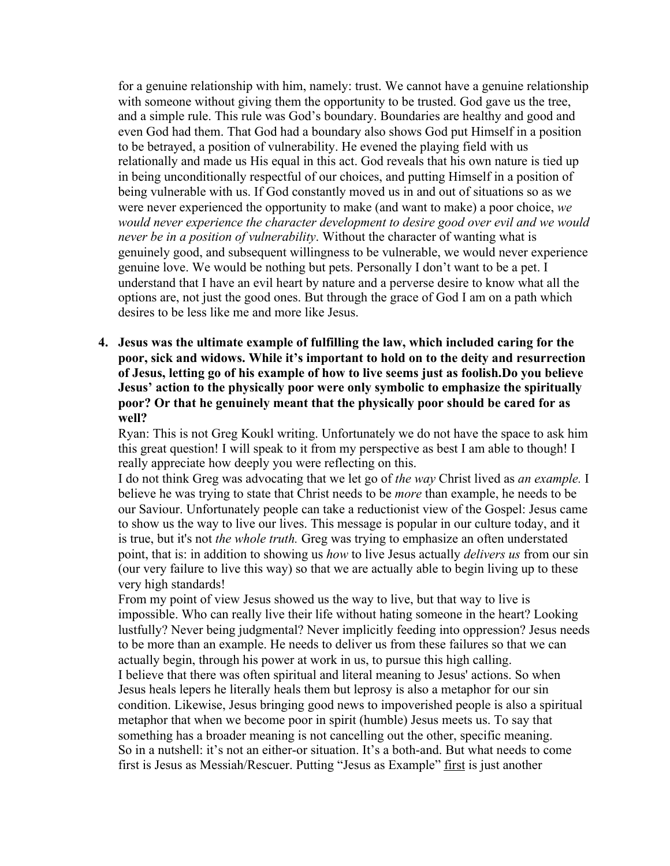for a genuine relationship with him, namely: trust. We cannot have a genuine relationship with someone without giving them the opportunity to be trusted. God gave us the tree, and a simple rule. This rule was God's boundary. Boundaries are healthy and good and even God had them. That God had a boundary also shows God put Himself in a position to be betrayed, a position of vulnerability. He evened the playing field with us relationally and made us His equal in this act. God reveals that his own nature is tied up in being unconditionally respectful of our choices, and putting Himself in a position of being vulnerable with us. If God constantly moved us in and out of situations so as we were never experienced the opportunity to make (and want to make) a poor choice, *we would never experience the character development to desire good over evil and we would never be in a position of vulnerability*. Without the character of wanting what is genuinely good, and subsequent willingness to be vulnerable, we would never experience genuine love. We would be nothing but pets. Personally I don't want to be a pet. I understand that I have an evil heart by nature and a perverse desire to know what all the options are, not just the good ones. But through the grace of God I am on a path which desires to be less like me and more like Jesus.

**4. Jesus was the ultimate example of fulfilling the law, which included caring for the poor, sick and widows. While it's important to hold on to the deity and resurrection of Jesus, letting go of his example of how to live seems just as foolish.Do you believe Jesus' action to the physically poor were only symbolic to emphasize the spiritually poor? Or that he genuinely meant that the physically poor should be cared for as well?**

Ryan: This is not Greg Koukl writing. Unfortunately we do not have the space to ask him this great question! I will speak to it from my perspective as best I am able to though! I really appreciate how deeply you were reflecting on this.

I do not think Greg was advocating that we let go of *the way* Christ lived as *an example.* I believe he was trying to state that Christ needs to be *more* than example, he needs to be our Saviour. Unfortunately people can take a reductionist view of the Gospel: Jesus came to show us the way to live our lives. This message is popular in our culture today, and it is true, but it's not *the whole truth.* Greg was trying to emphasize an often understated point, that is: in addition to showing us *how* to live Jesus actually *delivers us* from our sin (our very failure to live this way) so that we are actually able to begin living up to these very high standards!

From my point of view Jesus showed us the way to live, but that way to live is impossible. Who can really live their life without hating someone in the heart? Looking lustfully? Never being judgmental? Never implicitly feeding into oppression? Jesus needs to be more than an example. He needs to deliver us from these failures so that we can actually begin, through his power at work in us, to pursue this high calling. I believe that there was often spiritual and literal meaning to Jesus' actions. So when

Jesus heals lepers he literally heals them but leprosy is also a metaphor for our sin condition. Likewise, Jesus bringing good news to impoverished people is also a spiritual metaphor that when we become poor in spirit (humble) Jesus meets us. To say that something has a broader meaning is not cancelling out the other, specific meaning. So in a nutshell: it's not an either-or situation. It's a both-and. But what needs to come first is Jesus as Messiah/Rescuer. Putting "Jesus as Example" first is just another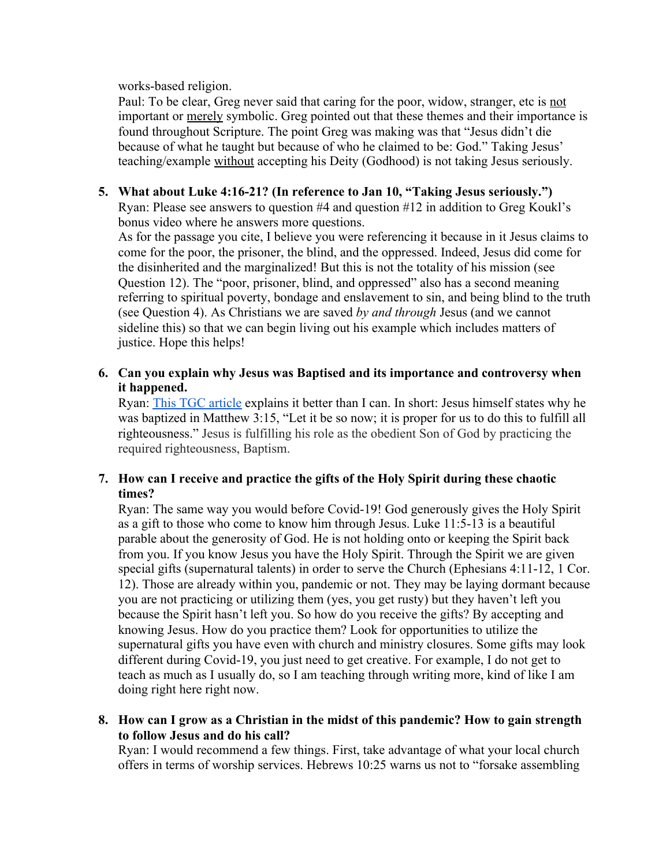works-based religion.

Paul: To be clear, Greg never said that caring for the poor, widow, stranger, etc is not important or merely symbolic. Greg pointed out that these themes and their importance is found throughout Scripture. The point Greg was making was that "Jesus didn't die because of what he taught but because of who he claimed to be: God." Taking Jesus' teaching/example without accepting his Deity (Godhood) is not taking Jesus seriously.

### **5. What about Luke 4:16-21? (In reference to Jan 10, "Taking Jesus seriously.")**

Ryan: Please see answers to question #4 and question #12 in addition to Greg Koukl's bonus video where he answers more questions.

As for the passage you cite, I believe you were referencing it because in it Jesus claims to come for the poor, the prisoner, the blind, and the oppressed. Indeed, Jesus did come for the disinherited and the marginalized! But this is not the totality of his mission (see Question 12). The "poor, prisoner, blind, and oppressed" also has a second meaning referring to spiritual poverty, bondage and enslavement to sin, and being blind to the truth (see Question 4). As Christians we are saved *by and through* Jesus (and we cannot sideline this) so that we can begin living out his example which includes matters of justice. Hope this helps!

### **6. Can you explain why Jesus was Baptised and its importance and controversy when it happened.**

Ryan: [This TGC article](https://www.thegospelcoalition.org/article/jesus-need-baptized/) explains it better than I can. In short: Jesus himself states why he was baptized in Matthew 3:15, "Let it be so now; it is proper for us to do this to fulfill all righteousness." Jesus is fulfilling his role as the obedient Son of God by practicing the required righteousness, Baptism.

### **7. How can I receive and practice the gifts of the Holy Spirit during these chaotic times?**

Ryan: The same way you would before Covid-19! God generously gives the Holy Spirit as a gift to those who come to know him through Jesus. Luke 11:5-13 is a beautiful parable about the generosity of God. He is not holding onto or keeping the Spirit back from you. If you know Jesus you have the Holy Spirit. Through the Spirit we are given special gifts (supernatural talents) in order to serve the Church (Ephesians 4:11-12, 1 Cor. 12). Those are already within you, pandemic or not. They may be laying dormant because you are not practicing or utilizing them (yes, you get rusty) but they haven't left you because the Spirit hasn't left you. So how do you receive the gifts? By accepting and knowing Jesus. How do you practice them? Look for opportunities to utilize the supernatural gifts you have even with church and ministry closures. Some gifts may look different during Covid-19, you just need to get creative. For example, I do not get to teach as much as I usually do, so I am teaching through writing more, kind of like I am doing right here right now.

**8. How can I grow as a Christian in the midst of this pandemic? How to gain strength to follow Jesus and do his call?**

Ryan: I would recommend a few things. First, take advantage of what your local church offers in terms of worship services. Hebrews 10:25 warns us not to "forsake assembling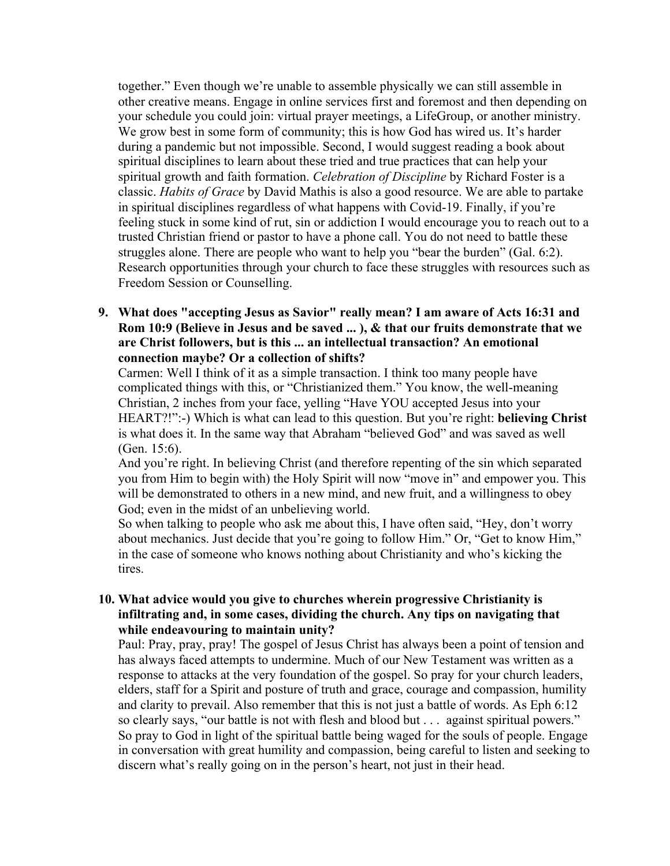together." Even though we're unable to assemble physically we can still assemble in other creative means. Engage in online services first and foremost and then depending on your schedule you could join: virtual prayer meetings, a LifeGroup, or another ministry. We grow best in some form of community; this is how God has wired us. It's harder during a pandemic but not impossible. Second, I would suggest reading a book about spiritual disciplines to learn about these tried and true practices that can help your spiritual growth and faith formation. *Celebration of Discipline* by Richard Foster is a classic. *Habits of Grace* by David Mathis is also a good resource. We are able to partake in spiritual disciplines regardless of what happens with Covid-19. Finally, if you're feeling stuck in some kind of rut, sin or addiction I would encourage you to reach out to a trusted Christian friend or pastor to have a phone call. You do not need to battle these struggles alone. There are people who want to help you "bear the burden" (Gal. 6:2). Research opportunities through your church to face these struggles with resources such as Freedom Session or Counselling.

**9. What does "accepting Jesus as Savior" really mean? I am aware of Acts 16:31 and Rom 10:9 (Believe in Jesus and be saved ... ), & that our fruits demonstrate that we are Christ followers, but is this ... an intellectual transaction? An emotional connection maybe? Or a collection of shifts?**

Carmen: Well I think of it as a simple transaction. I think too many people have complicated things with this, or "Christianized them." You know, the well-meaning Christian, 2 inches from your face, yelling "Have YOU accepted Jesus into your HEART?!":-) Which is what can lead to this question. But you're right: **believing Christ** is what does it. In the same way that Abraham "believed God" and was saved as well (Gen. 15:6).

And you're right. In believing Christ (and therefore repenting of the sin which separated you from Him to begin with) the Holy Spirit will now "move in" and empower you. This will be demonstrated to others in a new mind, and new fruit, and a willingness to obey God; even in the midst of an unbelieving world.

So when talking to people who ask me about this, I have often said, "Hey, don't worry about mechanics. Just decide that you're going to follow Him." Or, "Get to know Him," in the case of someone who knows nothing about Christianity and who's kicking the tires.

#### **10. What advice would you give to churches wherein progressive Christianity is infiltrating and, in some cases, dividing the church. Any tips on navigating that while endeavouring to maintain unity?**

Paul: Pray, pray, pray! The gospel of Jesus Christ has always been a point of tension and has always faced attempts to undermine. Much of our New Testament was written as a response to attacks at the very foundation of the gospel. So pray for your church leaders, elders, staff for a Spirit and posture of truth and grace, courage and compassion, humility and clarity to prevail. Also remember that this is not just a battle of words. As Eph 6:12 so clearly says, "our battle is not with flesh and blood but . . . against spiritual powers." So pray to God in light of the spiritual battle being waged for the souls of people. Engage in conversation with great humility and compassion, being careful to listen and seeking to discern what's really going on in the person's heart, not just in their head.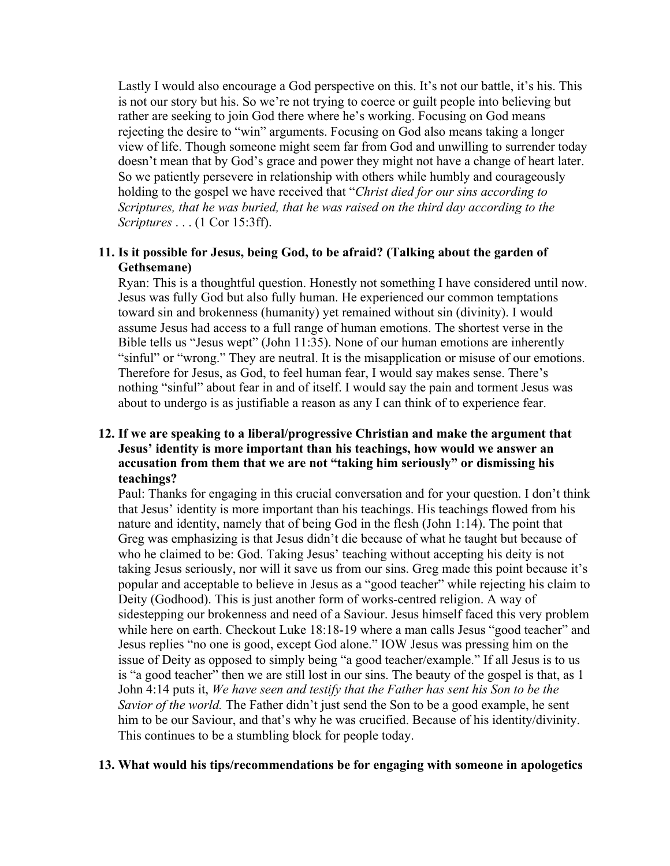Lastly I would also encourage a God perspective on this. It's not our battle, it's his. This is not our story but his. So we're not trying to coerce or guilt people into believing but rather are seeking to join God there where he's working. Focusing on God means rejecting the desire to "win" arguments. Focusing on God also means taking a longer view of life. Though someone might seem far from God and unwilling to surrender today doesn't mean that by God's grace and power they might not have a change of heart later. So we patiently persevere in relationship with others while humbly and courageously holding to the gospel we have received that "*Christ died for our sins according to Scriptures, that he was buried, that he was raised on the third day according to the Scriptures* . . . (1 Cor 15:3ff).

#### **11. Is it possible for Jesus, being God, to be afraid? (Talking about the garden of Gethsemane)**

Ryan: This is a thoughtful question. Honestly not something I have considered until now. Jesus was fully God but also fully human. He experienced our common temptations toward sin and brokenness (humanity) yet remained without sin (divinity). I would assume Jesus had access to a full range of human emotions. The shortest verse in the Bible tells us "Jesus wept" (John 11:35). None of our human emotions are inherently "sinful" or "wrong." They are neutral. It is the misapplication or misuse of our emotions. Therefore for Jesus, as God, to feel human fear, I would say makes sense. There's nothing "sinful" about fear in and of itself. I would say the pain and torment Jesus was about to undergo is as justifiable a reason as any I can think of to experience fear.

### **12. If we are speaking to a liberal/progressive Christian and make the argument that Jesus' identity is more important than his teachings, how would we answer an accusation from them that we are not "taking him seriously" or dismissing his teachings?**

Paul: Thanks for engaging in this crucial conversation and for your question. I don't think that Jesus' identity is more important than his teachings. His teachings flowed from his nature and identity, namely that of being God in the flesh (John 1:14). The point that Greg was emphasizing is that Jesus didn't die because of what he taught but because of who he claimed to be: God. Taking Jesus' teaching without accepting his deity is not taking Jesus seriously, nor will it save us from our sins. Greg made this point because it's popular and acceptable to believe in Jesus as a "good teacher" while rejecting his claim to Deity (Godhood). This is just another form of works-centred religion. A way of sidestepping our brokenness and need of a Saviour. Jesus himself faced this very problem while here on earth. Checkout Luke 18:18-19 where a man calls Jesus "good teacher" and Jesus replies "no one is good, except God alone." IOW Jesus was pressing him on the issue of Deity as opposed to simply being "a good teacher/example." If all Jesus is to us is "a good teacher" then we are still lost in our sins. The beauty of the gospel is that, as 1 John 4:14 puts it, *We have seen and testify that the Father has sent his Son to be the Savior of the world.* The Father didn't just send the Son to be a good example, he sent him to be our Saviour, and that's why he was crucified. Because of his identity/divinity. This continues to be a stumbling block for people today.

#### **13. What would his tips/recommendations be for engaging with someone in apologetics**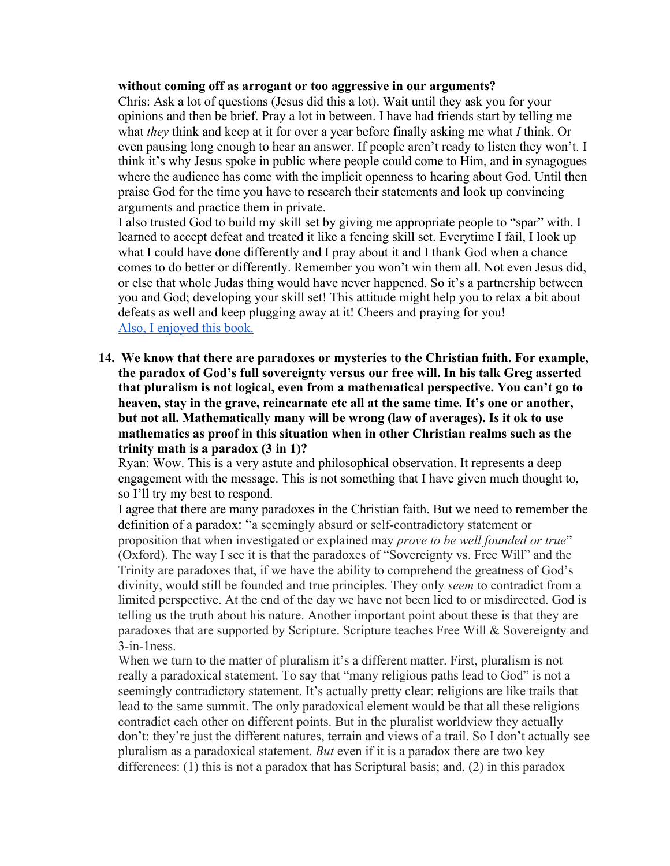#### **without coming off as arrogant or too aggressive in our arguments?**

Chris: Ask a lot of questions (Jesus did this a lot). Wait until they ask you for your opinions and then be brief. Pray a lot in between. I have had friends start by telling me what *they* think and keep at it for over a year before finally asking me what *I* think. Or even pausing long enough to hear an answer. If people aren't ready to listen they won't. I think it's why Jesus spoke in public where people could come to Him, and in synagogues where the audience has come with the implicit openness to hearing about God. Until then praise God for the time you have to research their statements and look up convincing arguments and practice them in private.

I also trusted God to build my skill set by giving me appropriate people to "spar" with. I learned to accept defeat and treated it like a fencing skill set. Everytime I fail, I look up what I could have done differently and I pray about it and I thank God when a chance comes to do better or differently. Remember you won't win them all. Not even Jesus did, or else that whole Judas thing would have never happened. So it's a partnership between you and God; developing your skill set! This attitude might help you to relax a bit about defeats as well and keep plugging away at it! Cheers and praying for you! [Also, I enjoyed this book.](https://www.amazon.ca/Tactics-10th-Anniversary-Discussing-Convictions/dp/0310101468/ref=pd_bxgy_img_2/140-4249023-8377044?_encoding=UTF8&pd_rd_i=0310101468&pd_rd_r=3782dd52-19aa-46a7-8d9a-3e1496e6bf39&pd_rd_w=2UP4K&pd_rd_wg=PWXLV&pf_rd_p=42339929-297e-4141-b7b2-fe55db70f4b7&pf_rd_r=CZT0DJ3P2VE94XPGNYW8&psc=1&refRID=CZT0DJ3P2VE94XPGNYW8)

**14. We know that there are paradoxes or mysteries to the Christian faith. For example, the paradox of God's full sovereignty versus our free will. In his talk Greg asserted that pluralism is not logical, even from a mathematical perspective. You can't go to heaven, stay in the grave, reincarnate etc all at the same time. It's one or another, but not all. Mathematically many will be wrong (law of averages). Is it ok to use mathematics as proof in this situation when in other Christian realms such as the trinity math is a paradox (3 in 1)?**

Ryan: Wow. This is a very astute and philosophical observation. It represents a deep engagement with the message. This is not something that I have given much thought to, so I'll try my best to respond.

I agree that there are many paradoxes in the Christian faith. But we need to remember the definition of a paradox: "a seemingly absurd or self-contradictory statement or proposition that when investigated or explained may *prove to be well founded or true*" (Oxford). The way I see it is that the paradoxes of "Sovereignty vs. Free Will" and the Trinity are paradoxes that, if we have the ability to comprehend the greatness of God's divinity, would still be founded and true principles. They only *seem* to contradict from a limited perspective. At the end of the day we have not been lied to or misdirected. God is telling us the truth about his nature. Another important point about these is that they are paradoxes that are supported by Scripture. Scripture teaches Free Will & Sovereignty and 3-in-1ness.

When we turn to the matter of pluralism it's a different matter. First, pluralism is not really a paradoxical statement. To say that "many religious paths lead to God" is not a seemingly contradictory statement. It's actually pretty clear: religions are like trails that lead to the same summit. The only paradoxical element would be that all these religions contradict each other on different points. But in the pluralist worldview they actually don't: they're just the different natures, terrain and views of a trail. So I don't actually see pluralism as a paradoxical statement. *But* even if it is a paradox there are two key differences: (1) this is not a paradox that has Scriptural basis; and, (2) in this paradox